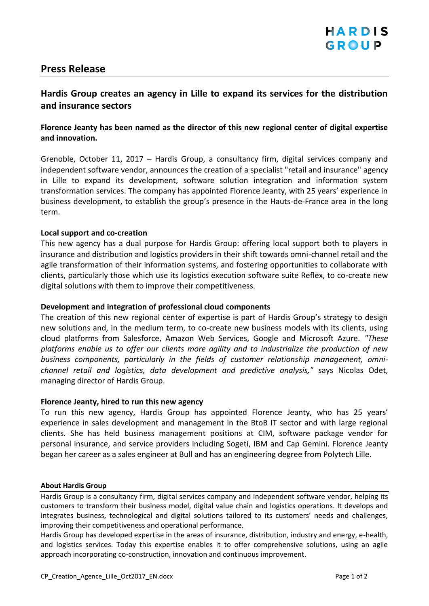# **Press Release**

## **Hardis Group creates an agency in Lille to expand its services for the distribution and insurance sectors**

## **Florence Jeanty has been named as the director of this new regional center of digital expertise and innovation.**

Grenoble, October 11, 2017 – Hardis Group, a consultancy firm, digital services company and independent software vendor, announces the creation of a specialist "retail and insurance" agency in Lille to expand its development, software solution integration and information system transformation services. The company has appointed Florence Jeanty, with 25 years' experience in business development, to establish the group's presence in the Hauts-de-France area in the long term.

### **Local support and co-creation**

This new agency has a dual purpose for Hardis Group: offering local support both to players in insurance and distribution and logistics providers in their shift towards omni-channel retail and the agile transformation of their information systems, and fostering opportunities to collaborate with clients, particularly those which use its logistics execution software suite Reflex, to co-create new digital solutions with them to improve their competitiveness.

### **Development and integration of professional cloud components**

The creation of this new regional center of expertise is part of Hardis Group's strategy to design new solutions and, in the medium term, to co-create new business models with its clients, using cloud platforms from Salesforce, Amazon Web Services, Google and Microsoft Azure. *"These platforms enable us to offer our clients more agility and to industrialize the production of new business components, particularly in the fields of customer relationship management, omnichannel retail and logistics, data development and predictive analysis,"* says Nicolas Odet, managing director of Hardis Group.

### **Florence Jeanty, hired to run this new agency**

To run this new agency, Hardis Group has appointed Florence Jeanty, who has 25 years' experience in sales development and management in the BtoB IT sector and with large regional clients. She has held business management positions at CIM, software package vendor for personal insurance, and service providers including Sogeti, IBM and Cap Gemini. Florence Jeanty began her career as a sales engineer at Bull and has an engineering degree from Polytech Lille.

#### **About Hardis Group**

Hardis Group is a consultancy firm, digital services company and independent software vendor, helping its customers to transform their business model, digital value chain and logistics operations. It develops and integrates business, technological and digital solutions tailored to its customers' needs and challenges, improving their competitiveness and operational performance.

Hardis Group has developed expertise in the areas of insurance, distribution, industry and energy, e-health, and logistics services. Today this expertise enables it to offer comprehensive solutions, using an agile approach incorporating co-construction, innovation and continuous improvement.